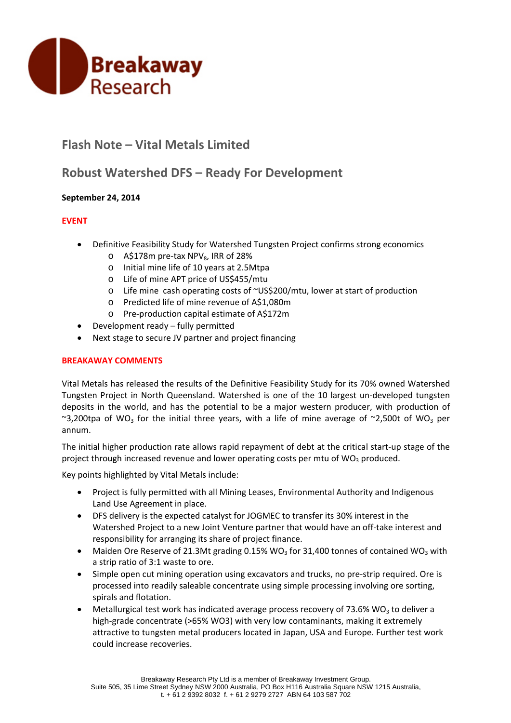

# **Flash Note – Vital Metals Limited**

## **Robust Watershed DFS – Ready For Development**

## **September 24, 2014**

## **EVENT**

- Definitive Feasibility Study for Watershed Tungsten Project confirms strong economics
	- $\circ$  A\$178m pre-tax NPV<sub>8</sub>, IRR of 28%
	- o Initial mine life of 10 years at 2.5Mtpa
	- o Life of mine APT price of US\$455/mtu
	- o Life mine cash operating costs of ~US\$200/mtu, lower at start of production
	- o Predicted life of mine revenue of A\$1,080m
	- o Pre‐production capital estimate of A\$172m
- Development ready fully permitted
- Next stage to secure JV partner and project financing

### **BREAKAWAY COMMENTS**

Vital Metals has released the results of the Definitive Feasibility Study for its 70% owned Watershed Tungsten Project in North Queensland. Watershed is one of the 10 largest un‐developed tungsten deposits in the world, and has the potential to be a major western producer, with production of ~3,200tpa of WO<sub>3</sub> for the initial three years, with a life of mine average of ~2,500t of WO<sub>3</sub> per annum.

The initial higher production rate allows rapid repayment of debt at the critical start‐up stage of the project through increased revenue and lower operating costs per mtu of  $WO<sub>3</sub>$  produced.

Key points highlighted by Vital Metals include:

- Project is fully permitted with all Mining Leases, Environmental Authority and Indigenous Land Use Agreement in place.
- DFS delivery is the expected catalyst for JOGMEC to transfer its 30% interest in the Watershed Project to a new Joint Venture partner that would have an off-take interest and responsibility for arranging its share of project finance.
- Maiden Ore Reserve of 21.3Mt grading 0.15% WO<sub>3</sub> for 31,400 tonnes of contained WO<sub>3</sub> with a strip ratio of 3:1 waste to ore.
- Simple open cut mining operation using excavators and trucks, no pre-strip required. Ore is processed into readily saleable concentrate using simple processing involving ore sorting, spirals and flotation.
- $\bullet$  Metallurgical test work has indicated average process recovery of 73.6% WO<sub>3</sub> to deliver a high-grade concentrate (>65% WO3) with very low contaminants, making it extremely attractive to tungsten metal producers located in Japan, USA and Europe. Further test work could increase recoveries.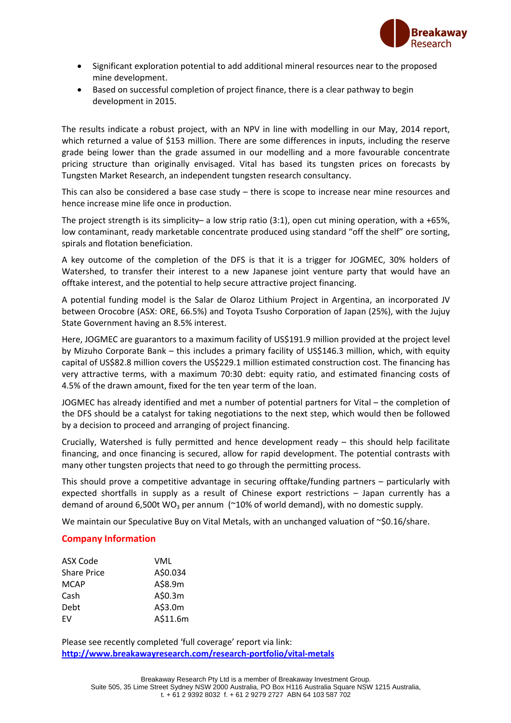

- Significant exploration potential to add additional mineral resources near to the proposed mine development.
- Based on successful completion of project finance, there is a clear pathway to begin development in 2015.

The results indicate a robust project, with an NPV in line with modelling in our May, 2014 report, which returned a value of \$153 million. There are some differences in inputs, including the reserve grade being lower than the grade assumed in our modelling and a more favourable concentrate pricing structure than originally envisaged. Vital has based its tungsten prices on forecasts by Tungsten Market Research, an independent tungsten research consultancy.

This can also be considered a base case study  $-$  there is scope to increase near mine resources and hence increase mine life once in production.

The project strength is its simplicity– a low strip ratio  $(3:1)$ , open cut mining operation, with a +65%, low contaminant, ready marketable concentrate produced using standard "off the shelf" ore sorting, spirals and flotation beneficiation.

A key outcome of the completion of the DFS is that it is a trigger for JOGMEC, 30% holders of Watershed, to transfer their interest to a new Japanese joint venture party that would have an offtake interest, and the potential to help secure attractive project financing.

A potential funding model is the Salar de Olaroz Lithium Project in Argentina, an incorporated JV between Orocobre (ASX: ORE, 66.5%) and Toyota Tsusho Corporation of Japan (25%), with the Jujuy State Government having an 8.5% interest.

Here, JOGMEC are guarantors to a maximum facility of US\$191.9 million provided at the project level by Mizuho Corporate Bank – this includes a primary facility of US\$146.3 million, which, with equity capital of US\$82.8 million covers the US\$229.1 million estimated construction cost. The financing has very attractive terms, with a maximum 70:30 debt: equity ratio, and estimated financing costs of 4.5% of the drawn amount, fixed for the ten year term of the loan.

JOGMEC has already identified and met a number of potential partners for Vital – the completion of the DFS should be a catalyst for taking negotiations to the next step, which would then be followed by a decision to proceed and arranging of project financing.

Crucially, Watershed is fully permitted and hence development ready – this should help facilitate financing, and once financing is secured, allow for rapid development. The potential contrasts with many other tungsten projects that need to go through the permitting process.

This should prove a competitive advantage in securing offtake/funding partners – particularly with expected shortfalls in supply as a result of Chinese export restrictions – Japan currently has a demand of around 6,500t WO<sub>3</sub> per annum ( $\approx$ 10% of world demand), with no domestic supply.

We maintain our Speculative Buy on Vital Metals, with an unchanged valuation of ~\$0.16/share.

## **Company Information**

| ASX Code           | VML      |
|--------------------|----------|
| <b>Share Price</b> | A\$0.034 |
| MCAP               | A\$8.9m  |
| Cash               | A\$0.3m  |
| Debt               | A\$3.0m  |
| FV                 | A\$11.6m |

Please see recently completed 'full coverage' report via link: **http://www.breakawayresearch.com/research‐portfolio/vital‐metals**